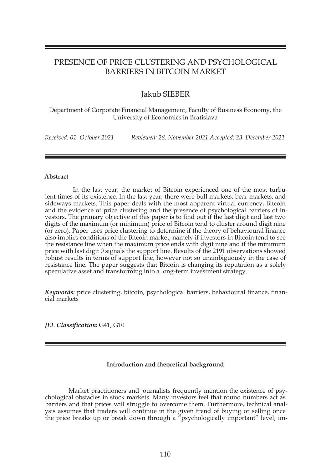# PRESENCE OF PRICE CLUSTERING AND PSYCHOLOGICAL BARRIERS IN BITCOIN MARKET

## Jakub SIEBER

Department of Corporate Financial Management, Faculty of Business Economy, the University of Economics in Bratislava

*Received: 01. October 2021 Reviewed: 28. November 2021 Accepted: 23. December 2021*

#### **Abstract**

In the last year, the market of Bitcoin experienced one of the most turbulent times of its existence. In the last year, there were bull markets, bear markets, and sideways markets. This paper deals with the most apparent virtual currency, Bitcoin and the evidence of price clustering and the presence of psychological barriers of investors. The primary objective of this paper is to find out if the last digit and last two digits of the maximum (or minimum) price of Bitcoin tend to cluster around digit nine (or zero). Paper uses price clustering to determine if the theory of behavioural finance also implies conditions of the Bitcoin market, namely if investors in Bitcoin tend to see the resistance line when the maximum price ends with digit nine and if the minimum price with last digit 0 signals the support line. Results of the 2191 observations showed robust results in terms of support line, however not so unambiguously in the case of resistance line. The paper suggests that Bitcoin is changing its reputation as a solely speculative asset and transforming into a long-term investment strategy.

*Keywords:* price clustering, bitcoin, psychological barriers, behavioural finance, financial markets

*JEL Classification:* G41, G10

## **Introduction and theoretical background**

 Market practitioners and journalists frequently mention the existence of psychological obstacles in stock markets. Many investors feel that round numbers act as barriers and that prices will struggle to overcome them. Furthermore, technical analysis assumes that traders will continue in the given trend of buying or selling once the price breaks up or break down through a  $\gamma$  psychologically important" level, im-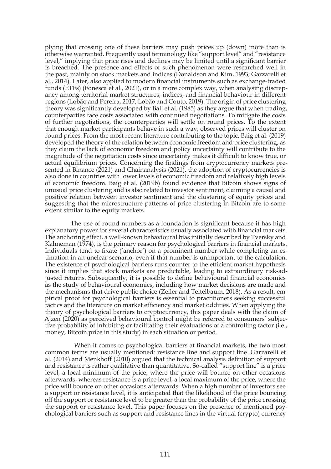plying that crossing one of these barriers may push prices up (down) more than is otherwise warranted. Frequently used terminology like "support level" and "resistance level," implying that price rises and declines may be limited until a significant barrier is breached. The presence and effects of such phenomenon were researched well in the past, mainly on stock markets and indices (Donaldson and Kim, 1993; Garzarelli et al., 2014). Later, also applied to modern financial instruments such as exchange-traded funds (ETFs) (Fonesca et al., 2021), or in a more complex way, when analysing discrepancy among territorial market structures, indices, and financial behaviour in different regions (Lobão and Pereira, 2017; Lobão and Couto, 2019). The origin of price clustering theory was significantly developed by Ball et al. (1985) as they argue that when trading, counterparties face costs associated with continued negotiations. To mitigate the costs of further negotiations, the counterparties will settle on round prices. To the extent that enough market participants behave in such a way, observed prices will cluster on round prices. From the most recent literature contributing to the topic, Baig et al. (2019) developed the theory of the relation between economic freedom and price clustering, as they claim the lack of economic freedom and policy uncertainty will contribute to the magnitude of the negotiation costs since uncertainty makes it difficult to know true, or actual equilibrium prices. Concerning the findings from cryptocurrency markets presented in Binance (2021) and Chainanalysis (2021), the adoption of cryptocurrencies is also done in countries with lower levels of economic freedom and relatively high levels of economic freedom. Baig et al. (2019b) found evidence that Bitcoin shows signs of unusual price clustering and is also related to investor sentiment, claiming a causal and positive relation between investor sentiment and the clustering of equity prices and suggesting that the microstructure patterns of price clustering in Bitcoin are to some extent similar to the equity markets.

 The use of round numbers as a foundation is significant because it has high explanatory power for several characteristics usually associated with financial markets. The anchoring effect, a well-known behavioural bias initially described by Tversky and Kahneman (1974), is the primary reason for psychological barriers in financial markets. Individuals tend to fixate ('anchor') on a prominent number while completing an estimation in an unclear scenario, even if that number is unimportant to the calculation. The existence of psychological barriers runs counter to the efficient market hypothesis since it implies that stock markets are predictable, leading to extraordinary risk-adjusted returns. Subsequently, it is possible to define behavioural financial economics as the study of behavioural economics, including how market decisions are made and the mechanisms that drive public choice (Zeiler and Teitelbaum, 2018). As a result, empirical proof for psychological barriers is essential to practitioners seeking successful tactics and the literature on market efficiency and market oddities. When applying the theory of psychological barriers to cryptocurrency, this paper deals with the claim of Ajzen (2020) as perceived behavioural control might be referred to consumers' subjective probability of inhibiting or facilitating their evaluations of a controlling factor (i.e., money, Bitcoin price in this study) in each situation or period.

 When it comes to psychological barriers at financial markets, the two most common terms are usually mentioned: resistance line and support line. Garzarelli et al. (2014) and Menkhoff (2010) argued that the technical analysis definition of support and resistance is rather qualitative than quantitative. So-called "support line" is a price level, a local minimum of the price, where the price will bounce on other occasions afterwards, whereas resistance is a price level, a local maximum of the price, where the price will bounce on other occasions afterwards. When a high number of investors see a support or resistance level, it is anticipated that the likelihood of the price bouncing off the support or resistance level to be greater than the probability of the price crossing the support or resistance level. This paper focuses on the presence of mentioned psychological barriers such as support and resistance lines in the virtual (crypto) currency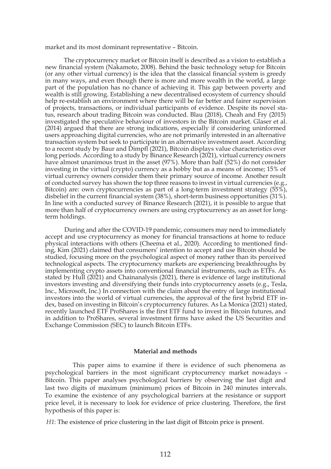market and its most dominant representative – Bitcoin.

 The cryptocurrency market or Bitcoin itself is described as a vision to establish a new financial system (Nakamoto, 2008). Behind the basic technology setup for Bitcoin (or any other virtual currency) is the idea that the classical financial system is greedy in many ways, and even though there is more and more wealth in the world, a large part of the population has no chance of achieving it. This gap between poverty and wealth is still growing. Establishing a new decentralised ecosystem of currency should help re-establish an environment where there will be far better and fairer supervision of projects, transactions, or individual participants of evidence. Despite its novel status, research about trading Bitcoin was conducted. Blau (2018), Cheah and Fry (2015) investigated the speculative behaviour of investors in the Bitcoin market. Glaser et al. (2014) argued that there are strong indications, especially if considering uninformed users approaching digital currencies, who are not primarily interested in an alternative transaction system but seek to participate in an alternative investment asset. According to a recent study by Baur and Dimpfl (2021), Bitcoin displays value characteristics over long periods. According to a study by Binance Research (2021), virtual currency owners have almost unanimous trust in the asset (97%). More than half (52%) do not consider investing in the virtual (crypto) currency as a hobby but as a means of income; 15% of virtual currency owners consider them their primary source of income. Another result of conducted survey has shown the top three reasons to invest in virtual currencies (e.g., Bitcoin) are: own cryptocurrencies as part of a long-term investment strategy (55%), disbelief in the current financial system (38%), short-term business opportunities (31%). In line with a conducted survey of Binance Research (2021), it is possible to argue that more than half of cryptocurrency owners are using cryptocurrency as an asset for longterm holdings.

 During and after the COVID-19 pandemic, consumers may need to immediately accept and use cryptocurrency as money for financial transactions at home to reduce physical interactions with others (Cheema et al., 2020). According to mentioned finding, Kim (2021) claimed that consumers' intention to accept and use Bitcoin should be studied, focusing more on the psychological aspect of money rather than its perceived technological aspects. The cryptocurrency markets are experiencing breakthroughs by implementing crypto assets into conventional financial instruments, such as ETFs. As stated by Hull (2021) and Chainanalysis (2021), there is evidence of large institutional investors investing and diversifying their funds into cryptocurrency assets (e.g., Tesla, Inc., Microsoft, Inc.) In connection with the claim about the entry of large institutional investors into the world of virtual currencies, the approval of the first hybrid ETF index, based on investing in Bitcoin's cryptocurrency futures. As La Monica (2021) stated, recently launched ETF ProShares is the first ETF fund to invest in Bitcoin futures, and in addition to ProShares, several investment firms have asked the US Securities and Exchange Commission (SEC) to launch Bitcoin ETFs.

## **Material and methods**

This paper aims to examine if there is evidence of such phenomena as psychological barriers in the most significant cryptocurrency market nowadays – Bitcoin. This paper analyses psychological barriers by observing the last digit and last two digits of maximum (minimum) prices of Bitcoin in 240 minutes intervals. To examine the existence of any psychological barriers at the resistance or support price level, it is necessary to look for evidence of price clustering. Therefore, the first hypothesis of this paper is:

 *H1*: The existence of price clustering in the last digit of Bitcoin price is present.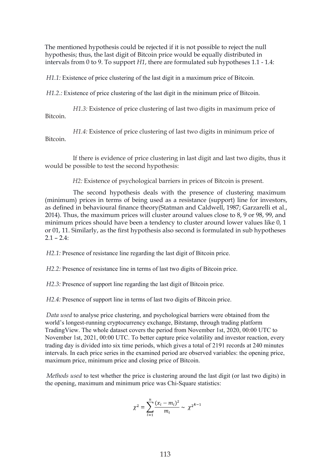The mentioned hypothesis could be rejected if it is not possible to reject the null hypothesis; thus, the last digit of Bitcoin price would be equally distributed in intervals from 0 to 9. To support *H1*, there are formulated sub hypotheses 1.1 - 1.4:

*H1.1:* Existence of price clustering of the last digit in a maximum price of Bitcoin.

*H1.2.:* Existence of price clustering of the last digit in the minimum price of Bitcoin.

 *H1.3:* Existence of price clustering of last two digits in maximum price of Bitcoin.

*H1.4:* Existence of price clustering of last two digits in minimum price of Bitcoin.

If there is evidence of price clustering in last digit and last two digits, thus it would be possible to test the second hypothesis:

*H2:* Existence of psychological barriers in prices of Bitcoin is present.

 The second hypothesis deals with the presence of clustering maximum (minimum) prices in terms of being used as a resistance (support) line for investors, as defined in behavioural finance theory(Statman and Caldwell, 1987; Garzarelli et al., 2014). Thus, the maximum prices will cluster around values close to 8, 9 or 98, 99, and minimum prices should have been a tendency to cluster around lower values like 0, 1 or 01, 11. Similarly, as the first hypothesis also second is formulated in sub hypotheses  $2.1 - 2.4$ :

*H2.1:* Presence of resistance line regarding the last digit of Bitcoin price.

*H2.2:* Presence of resistance line in terms of last two digits of Bitcoin price.

*H2.3:* Presence of support line regarding the last digit of Bitcoin price.

*H2.4:* Presence of support line in terms of last two digits of Bitcoin price.

*Data used* to analyse price clustering, and psychological barriers were obtained from the world's longest-running cryptocurrency exchange, Bitstamp, through trading platform TradingView. The whole dataset covers the period from November 1st, 2020, 00:00 UTC to November 1st, 2021, 00:00 UTC. To better capture price volatility and investor reaction, every trading day is divided into six time periods, which gives a total of 2191 records at 240 minutes intervals. In each price series in the examined period are observed variables: the opening price, maximum price, minimum price and closing price of Bitcoin.

*Methods used* to test whether the price is clustering around the last digit (or last two digits) in the opening, maximum and minimum price was Chi-Square statistics:

$$
\chi^2 = \sum_{i=1}^n \frac{(x_i - m_i)^2}{m_i} \sim \chi^{2^{k-1}}
$$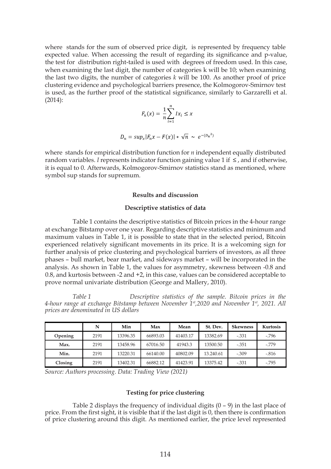where stands for the sum of observed price digit, is represented by frequency table expected value. When accessing the result of regarding its significance and p-value, the test for distribution right-tailed is used with degrees of freedom used. In this case, when examining the last digit, the number of categories k will be 10; when examining the last two digits, the number of categories *k* will be 100. As another proof of price clustering evidence and psychological barriers presence, the Kolmogorov-Smirnov test is used, as the further proof of the statistical significance, similarly to Garzarelli et al. (2014):

$$
F_n(x) = \frac{1}{n} \sum_{i=1}^n Ix_i \le x
$$
  

$$
D_n = \sup_{i} [E, x - F(x)] * \sqrt{n} \approx e^{-(D_n^2)}
$$

where stands for empirical distribution function for *n* independent equally distributed random variables. *I* represents indicator function gaining value 1 if  $\leq$ , and if otherwise, it is equal to 0. Afterwards, Kolmogorov-Smirnov statistics stand as mentioned, where symbol sup stands for supremum.

#### **Results and discussion**

#### **Descriptive statistics of data**

Table 1 contains the descriptive statistics of Bitcoin prices in the 4-hour range at exchange Bitstamp over one year. Regarding descriptive statistics and minimum and maximum values in Table 1, it is possible to state that in the selected period, Bitcoin experienced relatively significant movements in its price. It is a welcoming sign for further analysis of price clustering and psychological barriers of investors, as all three phases – bull market, bear market, and sideways market – will be incorporated in the analysis. As shown in Table 1, the values for asymmetry, skewness between -0.8 and 0.8, and kurtosis between -2 and +2, in this case, values can be considered acceptable to prove normal univariate distribution (George and Mallery, 2010).

*Table 1 Descriptive statistics of the sample. Bitcoin prices in the 4-hour range at exchange Bitstamp between November 1st,2020 and November 1st, 2021. All prices are denominated in US dollars*

|         | N    | Min      | Max      | Mean     | St. Dev.  | Skewness | Kurtosis |
|---------|------|----------|----------|----------|-----------|----------|----------|
| Opening | 2191 | 13396.35 | 66893.03 | 41403.17 | 13382.69  | $-.331$  | $-.796$  |
| Max.    | 2191 | 13458.96 | 67016.50 | 41943.3  | 13500.50  | $-.351$  | $-.779$  |
| Min.    | 2191 | 13220.31 | 66140.00 | 40802.09 | 13.240.61 | $-.309$  | $-.816$  |
| Closing | 2191 | 13402.31 | 66882.12 | 41423.91 | 13375.42  | $-.331$  | $-.795$  |

*Source: Authors processing. Data: Trading View (2021)*

#### **Testing for price clustering**

Table 2 displays the frequency of individual digits (0 – 9) in the last place of price. From the first sight, it is visible that if the last digit is 0, then there is confirmation of price clustering around this digit. As mentioned earlier, the price level represented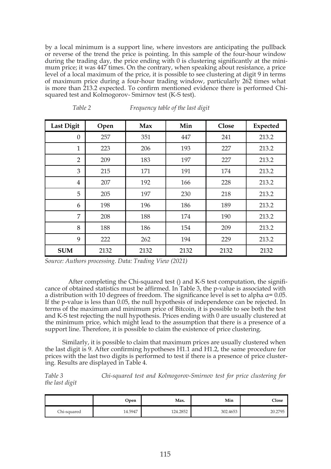by a local minimum is a support line, where investors are anticipating the pullback or reverse of the trend the price is pointing. In this sample of the four-hour window during the trading day, the price ending with 0 is clustering significantly at the minimum price; it was 447 times. On the contrary, when speaking about resistance, a price level of a local maximum of the price, it is possible to see clustering at digit 9 in terms of maximum price during a four-hour trading window, particularly 262 times what is more than 213.2 expected. To confirm mentioned evidence there is performed Chisquared test and Kolmogorov- Smirnov test (K-S test).

| <b>Last Digit</b> | Open | Max  | Min  | Close | Expected |
|-------------------|------|------|------|-------|----------|
| $\theta$          | 257  | 351  | 447  | 241   | 213.2    |
| $\mathbf{1}$      | 223  | 206  | 193  | 227   | 213.2    |
| $\overline{2}$    | 209  | 183  | 197  | 227   | 213.2    |
| 3                 | 215  | 171  | 191  | 174   | 213.2    |
| $\overline{4}$    | 207  | 192  | 166  | 228   | 213.2    |
| 5                 | 205  | 197  | 230  | 218   | 213.2    |
| 6                 | 198  | 196  | 186  | 189   | 213.2    |
| 7                 | 208  | 188  | 174  | 190   | 213.2    |
| 8                 | 188  | 186  | 154  | 209   | 213.2    |
| 9                 | 222  | 262  | 194  | 229   | 213.2    |
| <b>SUM</b>        | 2132 | 2132 | 2132 | 2132  | 2132     |

*Table 2 Frequency table of the last digit*

*Source: Authors processing. Data: Trading View (2021)*

 After completing the Chi-squared test () and K-S test computation, the significance of obtained statistics must be affirmed. In Table 3, the p-value is associated with a distribution with 10 degrees of freedom. The significance level is set to alpha  $\alpha$  = 0.05. If the p-value is less than 0.05, the null hypothesis of independence can be rejected. In terms of the maximum and minimum price of Bitcoin, it is possible to see both the test and K-S test rejecting the null hypothesis. Prices ending with 0 are usually clustered at the minimum price, which might lead to the assumption that there is a presence of a support line. Therefore, it is possible to claim the existence of price clustering.

 Similarly, it is possible to claim that maximum prices are usually clustered when the last digit is 9. After confirming hypotheses H1.1 and H1.2, the same procedure for prices with the last two digits is performed to test if there is a presence of price clustering. Results are displayed in Table 4.

*Table 3 Chi-squared test and Kolmogorov-Smirnov test for price clustering for the last digit*

|             | Open    | Max.     | Min      | $\bigcap$ ose |
|-------------|---------|----------|----------|---------------|
| Chi-squared | 14.5947 | 124.2852 | 302.4653 | 20.2795       |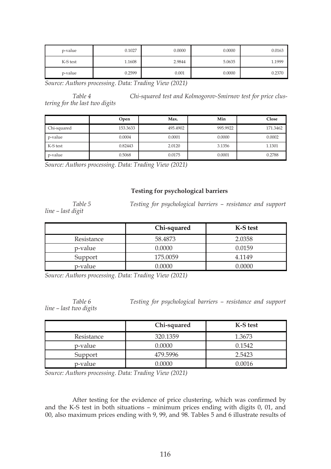| p-value  | 0.1027 | 0.0000 | 0.0000 | 0.0163 |
|----------|--------|--------|--------|--------|
| K-S test | 1.1608 | 2.9844 | 5.0635 | 1.1999 |
| p-value  | 0.2599 | 0.001  | 0.0000 | 0.2370 |

*Source: Authors processing. Data: Trading View (2021)*

*Table 4 Chi-squared test and Kolmogorov-Smirnov test for price clustering for the last two digits*

|             | Open     | Max.     | Min      | Close    |
|-------------|----------|----------|----------|----------|
| Chi-squared | 153.3633 | 495.4902 | 995.9922 | 171.3462 |
| p-value     | 0.0004   | 0.0001   | 0.0000   | 0.0002   |
| K-S test    | 0.82443  | 2.0120   | 3.1356   | 1.1301   |
| p-value     | 0.5068   | 0.0175   | 0.0001   | 0.2788   |

*Source: Authors processing. Data: Trading View (2021)*

## **Testing for psychological barriers**

*line – last digit*

*Table 5 Testing for psychological barriers – resistance and support* 

|            | Chi-squared | K-S test |
|------------|-------------|----------|
| Resistance | 58.4873     | 2.0358   |
| p-value    | 0.0000      | 0.0159   |
| Support    | 175.0059    | 4.1149   |
| p-value    | 0.0000      | 0.0000   |

*Source: Authors processing. Data: Trading View (2021)*

*Table 6 Testing for psychological barriers – resistance and support line – last two digits*

|            | Chi-squared | K-S test |
|------------|-------------|----------|
| Resistance | 320.1359    | 1.3673   |
| p-value    | 0.0000      | 0.1542   |
| Support    | 479.5996    | 2.5423   |
| p-value    | 0.0000      | 0.0016   |

*Source: Authors processing. Data: Trading View (2021)*

After testing for the evidence of price clustering, which was confirmed by and the K-S test in both situations – minimum prices ending with digits 0, 01, and 00, also maximum prices ending with 9, 99, and 98. Tables 5 and 6 illustrate results of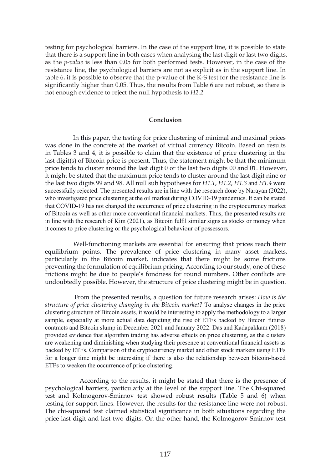testing for psychological barriers. In the case of the support line, it is possible to state that there is a support line in both cases when analysing the last digit or last two digits, as the *p-value* is less than 0.05 for both performed tests. However, in the case of the resistance line, the psychological barriers are not as explicit as in the support line. In table 6, it is possible to observe that the p-value of the K-S test for the resistance line is significantly higher than 0.05. Thus, the results from Table 6 are not robust, so there is not enough evidence to reject the null hypothesis to *H2.2.*

## **Conclusion**

 In this paper, the testing for price clustering of minimal and maximal prices was done in the concrete at the market of virtual currency Bitcoin. Based on results in Tables 3 and 4, it is possible to claim that the existence of price clustering in the last digit(s) of Bitcoin price is present. Thus, the statement might be that the minimum price tends to cluster around the last digit 0 or the last two digits 00 and 01. However, it might be stated that the maximum price tends to cluster around the last digit nine or the last two digits 99 and 98. All null sub hypotheses for *H1.1*, *H1.2*, *H1.3* and *H1.4* were successfully rejected. The presented results are in line with the research done by Narayan (2022), who investigated price clustering at the oil market during COVID-19 pandemics. It can be stated that COVID-19 has not changed the occurrence of price clustering in the cryptocurrency market of Bitcoin as well as other more conventional financial markets. Thus, the presented results are in line with the research of Kim (2021), as Bitcoin fulfil similar signs as stocks or money when it comes to price clustering or the psychological behaviour of possessors.

 Well-functioning markets are essential for ensuring that prices reach their equilibrium points. The prevalence of price clustering in many asset markets, particularly in the Bitcoin market, indicates that there might be some frictions preventing the formulation of equilibrium pricing. According to our study, one of these frictions might be due to people's fondness for round numbers. Other conflicts are undoubtedly possible. However, the structure of price clustering might be in question.

 From the presented results, a question for future research arises: *How is the structure of price clustering changing in the Bitcoin market?* To analyse changes in the price clustering structure of Bitcoin assets, it would be interesting to apply the methodology to a larger sample, especially at more actual data depicting the rise of ETFs backed by Bitcoin futures contracts and Bitcoin slump in December 2021 and January 2022. Das and Kadapakkam (2018) provided evidence that algorithm trading has adverse effects on price clustering, as the clusters are weakening and diminishing when studying their presence at conventional financial assets as backed by ETFs. Comparison of the cryptocurrency market and other stock markets using ETFs for a longer time might be interesting if there is also the relationship between bitcoin-based ETFs to weaken the occurrence of price clustering.

 According to the results, it might be stated that there is the presence of psychological barriers, particularly at the level of the support line. The Chi-squared test and Kolmogorov-Smirnov test showed robust results (Table 5 and 6) when testing for support lines. However, the results for the resistance line were not robust. The chi-squared test claimed statistical significance in both situations regarding the price last digit and last two digits. On the other hand, the Kolmogorov-Smirnov test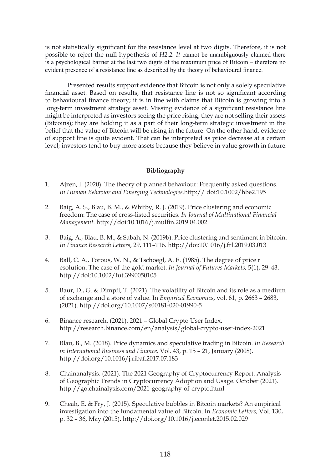is not statistically significant for the resistance level at two digits. Therefore, it is not possible to reject the null hypothesis of *H2.2. It* cannot be unambiguously claimed there is a psychological barrier at the last two digits of the maximum price of Bitcoin – therefore no evident presence of a resistance line as described by the theory of behavioural finance.

 Presented results support evidence that Bitcoin is not only a solely speculative financial asset. Based on results, that resistance line is not so significant according to behavioural finance theory; it is in line with claims that Bitcoin is growing into a long-term investment strategy asset. Missing evidence of a significant resistance line might be interpreted as investors seeing the price rising; they are not selling their assets (Bitcoins); they are holding it as a part of their long-term strategic investment in the belief that the value of Bitcoin will be rising in the future. On the other hand, evidence of support line is quite evident. That can be interpreted as price decrease at a certain level; investors tend to buy more assets because they believe in value growth in future.

## **Bibliography**

- 1. Ajzen, I. (2020). The theory of planned behaviour: Frequently asked questions. *In Human Behavior and Emerging Technologies*.http:// doi:10.1002/hbe2.195
- 2. Baig, A. S., Blau, B. M., & Whitby, R. J. (2019). Price clustering and economic freedom: The case of cross-listed securities. *In Journal of Multinational Financial Management*. http://doi:10.1016/j.mulfin.2019.04.002
- 3. Baig, A., Blau, B. M., & Sabah, N. (2019b). Price clustering and sentiment in bitcoin. *In Finance Research Letters*, 29, 111–116. http://doi:10.1016/j.frl.2019.03.013
- 4. Ball, C. A., Torous, W. N., & Tschoegl, A. E. (1985). The degree of price r esolution: The case of the gold market. *In Journal of Futures Markets*, 5(1), 29–43. http://doi:10.1002/fut.3990050105
- 5. Baur, D., G. & Dimpfl, T. (2021). The volatility of Bitcoin and its role as a medium of exchange and a store of value. In *Empirical Economics*, vol. 61, p. 2663 – 2683, (2021). http://doi.org/10.1007/s00181-020-01990-5
- 6. Binance research. (2021). 2021 Global Crypto User Index. http://research.binance.com/en/analysis/global-crypto-user-index-2021
- 7. Blau, B., M. (2018). Price dynamics and speculative trading in Bitcoin. *In Research in International Business and Finance,* Vol. 43, p. 15 – 21, January (2008). http://doi.org/10.1016/j.ribaf.2017.07.183
- 8. Chainanalysis. (2021). The 2021 Geography of Cryptocurrency Report. Analysis of Geographic Trends in Cryptocurrency Adoption and Usage. October (2021). http://go.chainalysis.com/2021-geography-of-crypto.html
- 9. Cheah, E. & Fry, J. (2015). Speculative bubbles in Bitcoin markets? An empirical investigation into the fundamental value of Bitcoin. In *Economic Letters,* Vol. 130, p. 32 – 36, May (2015). http://doi.org/10.1016/j.econlet.2015.02.029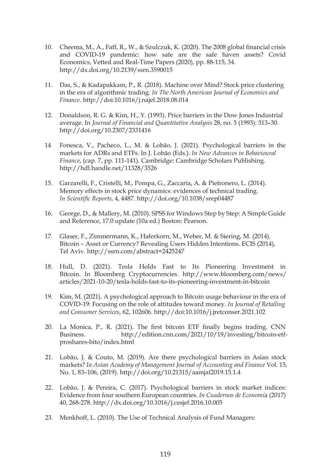- 10. Cheema, M., A., Faff, R., W., & Szulczuk, K. (2020). The 2008 global financial crisis and COVID-19 pandemic: how safe are the safe haven assets? Covid Economics, Vetted and Real-Time Papers (2020), pp. 88-115, 34. http://dx.doi.org/10.2139/ssrn.3590015
- 11. Das, S., & Kadapakkam, P., R. (2018). Machine over Mind? Stock price clustering in the era of algorithmic trading. *In The North American Journal of Economics and Finance*. http://doi:10.1016/j.najef.2018.08.014
- 12. Donaldson, R. G. & Kim, H., Y. (1993). Price barriers in the Dow Jones Industrial average. In *Journal of Financial and Quantitative Analysis* 28, no. 3 (1993): 313–30. http://doi.org/10.2307/2331416
- 14 Fonesca, V., Pacheco, L., M. & Lobão, J. (2021). Psychological barriers in the markets for ADRs and ETFs. In J. Lobão (Eds.). *In New Advances in Behavioural Finance*, (cap. 7, pp. 111-141). Cambridge: Cambridge Scholars Publishing. http://hdl.handle.net/11328/3526
- 15. Garzarelli, F., Cristelli, M., Pompa, G., Zaccaria, A. & Pietronero, L. (2014). Memory effects in stock price dynamics: evidences of technical trading. *In Scientific Reports*, 4, 4487. http://doi.org/10.1038/srep04487
- 16. George, D., & Mallery, M. (2010). SPSS for Windows Step by Step: A Simple Guide and Reference, 17.0 update (10a ed.) Boston: Pearson.
- 17. Glaser, F., Zimmermann, K., Haferkorn, M., Weber, M. & Siering, M. (2014). Bitcoin – Asset or Currency? Revealing Users Hidden Intentions. ECIS (2014), Tel Aviv. http://ssrn.com/abstract=2425247
- 18. Hull, D. (2021). Tesla Holds Fast to Its Pioneering Investment in Bitcoin. In Bloomberg Cryptocurrencies. http://www.bloomberg.com/news/ articles/2021-10-20/tesla-holds-fast-to-its-pioneering-investment-in-bitcoin
- 19. Kim, M. (2021). A psychological approach to Bitcoin usage behaviour in the era of COVID-19: Focusing on the role of attitudes toward money. *In Journal of Retailing and Consumer Services*, 62, 102606. http://doi:10.1016/j.jretconser.2021.102
- 20. La Monica, P., R. (2021). The first bitcoin ETF finally begins trading. CNN Business. http://edition.cnn.com/2021/10/19/investing/bitcoin-etfproshares-bito/index.html
- 21. Lobão, J. & Couto, M. (2019). Are there psychological barriers in Asian stock markets? *In Asian Academy of Management Journal of Accounting and Finance* Vol. 15, No. 1, 83–106, (2019). http://doi.org/10.21315/aamjaf2019.15.1.4
- 22. Lobão, J. & Pereira, C. (2017). Psychological barriers in stock market indices: Evidence from four southern European countries. *In Cuadernos de Economí*a (2017) 40, 268-278. http://dx.doi.org/10.1016/j.cesjef.2016.10.005
- 23. Menkhoff, L. (2010). The Use of Technical Analysis of Fund Managers: